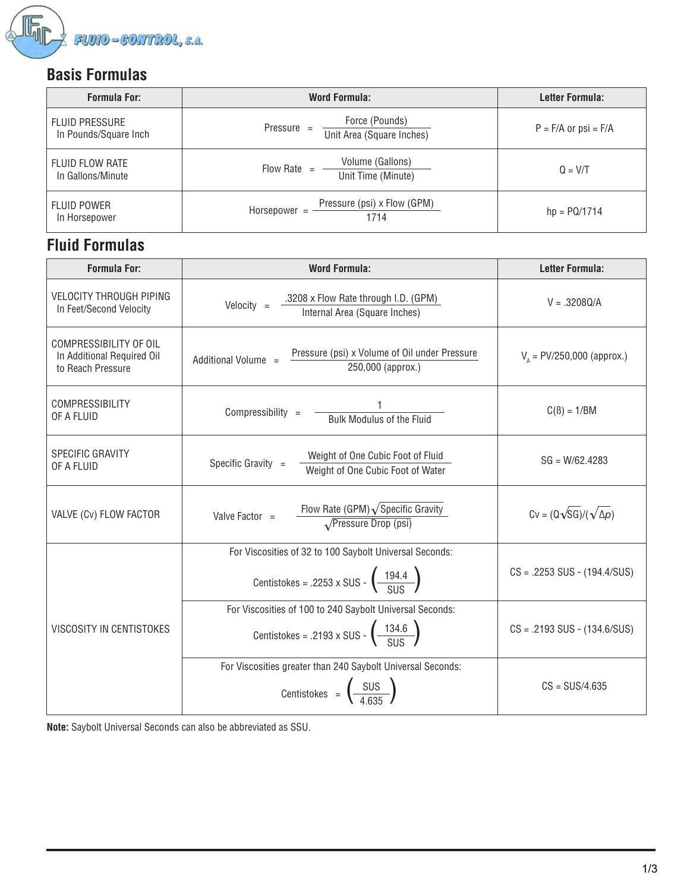

### **Basis Formulas**

| <b>Formula For:</b>                            | Word Formula:                                               | Letter Formula:          |  |  |
|------------------------------------------------|-------------------------------------------------------------|--------------------------|--|--|
| <b>FLUID PRESSURE</b><br>In Pounds/Square Inch | Force (Pounds)<br>Pressure $=$<br>Unit Area (Square Inches) | $P = F/A$ or $psi = F/A$ |  |  |
| <b>FLUID FLOW RATE</b><br>In Gallons/Minute    | Volume (Gallons)<br>Flow Rate<br>$=$<br>Unit Time (Minute)  | $Q = V/T$                |  |  |
| <b>FLUID POWER</b><br>In Horsepower            | Pressure (psi) x Flow (GPM)<br>Horsepower $=$<br>1714       | $hp = PQ/1714$           |  |  |

# **Fluid Formulas**

| <b>Formula For:</b>                                                       | <b>Word Formula:</b>                                                                                                             | <b>Letter Formula:</b>                |  |  |
|---------------------------------------------------------------------------|----------------------------------------------------------------------------------------------------------------------------------|---------------------------------------|--|--|
| <b>VELOCITY THROUGH PIPING</b><br>In Feet/Second Velocity                 | .3208 x Flow Rate through I.D. (GPM)<br>Velocity $=$<br>Internal Area (Square Inches)                                            | $V = .3208Q/A$                        |  |  |
| COMPRESSIBILITY OF OIL<br>In Additional Required Oil<br>to Reach Pressure | Pressure (psi) x Volume of Oil under Pressure<br>Additional Volume =<br>250,000 (approx.)                                        | $V_a$ = PV/250,000 (approx.)          |  |  |
| <b>COMPRESSIBILITY</b><br>OF A FLUID                                      | Compressibility =<br><b>Bulk Modulus of the Fluid</b>                                                                            | $C(\beta) = 1/BM$                     |  |  |
| <b>SPECIFIC GRAVITY</b><br>OF A FLUID                                     | Weight of One Cubic Foot of Fluid<br>Specific Gravity =<br>Weight of One Cubic Foot of Water                                     | $SG = W/62.4283$                      |  |  |
| VALVE (Cv) FLOW FACTOR                                                    | Flow Rate (GPM) $\sqrt{\text{Specific Gravity}}$<br>Valve Factor =<br>$\sqrt{$ Pressure Drop (psi)                               | $Cv = (Q\sqrt{SG})/(\sqrt{\Delta p})$ |  |  |
|                                                                           | For Viscosities of 32 to 100 Saybolt Universal Seconds:<br>Centistokes = .2253 x SUS - $\left(\frac{194.4}{S11S}\right)$         | $CS = .2253$ SUS - $(194.4/SUS)$      |  |  |
| VISCOSITY IN CENTISTOKES                                                  | For Viscosities of 100 to 240 Saybolt Universal Seconds:<br>Centistokes = .2193 x SUS - $\left(\frac{134.6}{\text{C11C}}\right)$ | $CS = .2193$ SUS - $(134.6/SUS)$      |  |  |
|                                                                           | For Viscosities greater than 240 Saybolt Universal Seconds:<br>Centistokes = $\left(\frac{\text{SUS}}{4.635}\right)$             | $CS = SUS/4.635$                      |  |  |

**Note:** Saybolt Universal Seconds can also be abbreviated as SSU.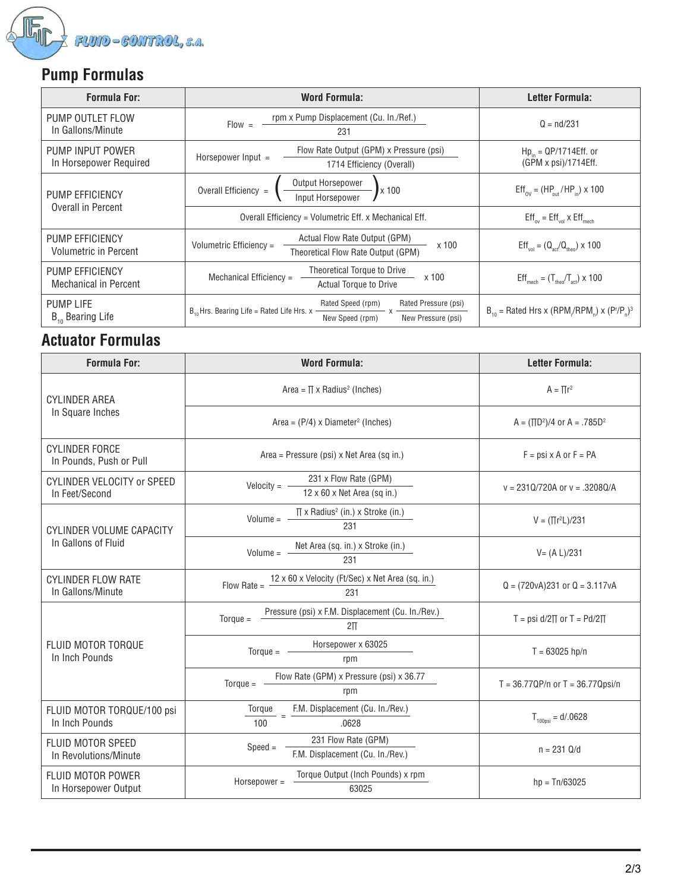

# **Pump Formulas**

| <b>Formula For:</b>                                    | <b>Word Formula:</b>                                                                                                                   | Letter Formula:                                                                   |  |  |
|--------------------------------------------------------|----------------------------------------------------------------------------------------------------------------------------------------|-----------------------------------------------------------------------------------|--|--|
| PUMP OUTLET FLOW<br>In Gallons/Minute                  | rpm x Pump Displacement (Cu. In./Ref.)<br>$Flow =$<br>231                                                                              | $Q = nd/231$                                                                      |  |  |
| PUMP INPUT POWER<br>In Horsepower Required             | Flow Rate Output (GPM) x Pressure (psi)<br>Horsepower $Input =$<br>1714 Efficiency (Overall)                                           | $Hp_{in} = QP/1714Eff.$ or<br>(GPM x psi)/1714Eff.                                |  |  |
| <b>PUMP EFFICIENCY</b><br><b>Overall in Percent</b>    | Output Horsepower<br>Overall Efficiency =<br>x 100<br>Input Horsepower                                                                 | $Eff_{\text{ov}} = (HP_{\text{out}}/HP_{\text{in}}) \times 100$                   |  |  |
|                                                        | Overall Efficiency = Volumetric Eff. x Mechanical Eff.                                                                                 | $Eff_{\text{ov}} = Eff_{\text{vol}} \times Eff_{\text{mech}}$                     |  |  |
| <b>PUMP EFFICIENCY</b><br><b>Volumetric in Percent</b> | Actual Flow Rate Output (GPM)<br>Volumetric Efficiency =<br>x 100<br>Theoretical Flow Rate Output (GPM)                                | $Eff_{\text{vol}} = (Q_{\text{ref}}/Q_{\text{theo}}) \times 100$                  |  |  |
| <b>PUMP EFFICIENCY</b><br><b>Mechanical in Percent</b> | Theoretical Torque to Drive<br>Mechanical Efficiency =<br>x 100<br><b>Actual Torque to Drive</b>                                       | $Effmech = (Ttheo/Tact) \times 100$                                               |  |  |
| <b>PUMP LIFE</b><br>$B_{10}$ Bearing Life              | Rated Speed (rpm)<br>Rated Pressure (psi)<br>$B_{10}$ Hrs. Bearing Life = Rated Life Hrs. x -<br>New Speed (rpm)<br>New Pressure (psi) | $B_{10}$ = Rated Hrs x (RPM/RPM) x (P <sup>r</sup> /P <sub>n</sub> ) <sup>3</sup> |  |  |

## **Actuator Formulas**

| <b>Formula For:</b>                                 | <b>Word Formula:</b>                                                      | <b>Letter Formula:</b>                 |  |  |
|-----------------------------------------------------|---------------------------------------------------------------------------|----------------------------------------|--|--|
| <b>CYLINDER AREA</b><br>In Square Inches            | Area = $\Pi$ x Radius <sup>2</sup> (Inches)                               | $A = \prod r^2$                        |  |  |
|                                                     | Area = $(P/4)$ x Diameter <sup>2</sup> (Inches)                           | $A = (\Pi D^2)/4$ or $A = .785D^2$     |  |  |
| CYLINDER FORCE<br>In Pounds, Push or Pull           | Area = Pressure (psi) x Net Area (sq in.)                                 | $F = psi \times A$ or $F = PA$         |  |  |
| <b>CYLINDER VELOCITY or SPEED</b><br>In Feet/Second | 231 x Flow Rate (GPM)<br>$Velocity =$<br>12 x 60 x Net Area (sq in.)      | $v = 2310/720A$ or $v = .32080/A$      |  |  |
| CYLINDER VOLUME CAPACITY<br>In Gallons of Fluid     | $\Pi$ x Radius <sup>2</sup> (in.) x Stroke (in.)<br>$Volume =$<br>231     | $V = (\prod r^2 L)/231$                |  |  |
|                                                     | Net Area (sq. in.) x Stroke (in.)<br>Volume $=$<br>231                    | $V = (A L)/231$                        |  |  |
| <b>CYLINDER FLOW RATE</b><br>In Gallons/Minute      | 12 x 60 x Velocity (Ft/Sec) x Net Area (sq. in.)<br>Flow Rate $=$<br>231  | $Q = (720vA)231$ or $Q = 3.117vA$      |  |  |
| FLUID MOTOR TORQUE<br>In Inch Pounds                | Pressure (psi) x F.M. Displacement (Cu. In./Rev.)<br>$Torque =$<br>$2\Pi$ | T = psi $d/2\Pi$ or T = Pd/2 $\Pi$     |  |  |
|                                                     | Horsepower x 63025<br>$Torque =$<br>rpm                                   | $T = 63025$ hp/n                       |  |  |
|                                                     | Flow Rate (GPM) x Pressure (psi) x 36.77<br>$Torque =$<br>rpm             | $T = 36.77$ QP/n or $T = 36.77$ Qpsi/n |  |  |
| FLUID MOTOR TORQUE/100 psi<br>In Inch Pounds        | F.M. Displacement (Cu. In./Rev.)<br>Torque<br>100<br>.0628                | $T_{100\text{nsi}} = d/0.0628$         |  |  |
| FLUID MOTOR SPEED<br>In Revolutions/Minute          | 231 Flow Rate (GPM)<br>$Speed =$<br>F.M. Displacement (Cu. In./Rev.)      | $n = 231$ Q/d                          |  |  |
| <b>FLUID MOTOR POWER</b><br>In Horsepower Output    | Torque Output (Inch Pounds) x rpm<br>$Horsepower =$<br>63025              | $hp = Tn/63025$                        |  |  |